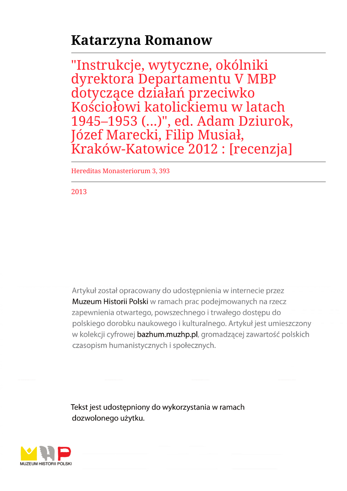## **Katarzyna Romanow**

"Instrukcje, wytyczne, okólniki dyrektora Departamentu V MBP dotyczące działań przeciwko Kościołowi katolickiemu w latach 1945–1953 (...)", ed. Adam Dziurok, Józef Marecki, Filip Musiał, Kraków-Katowice 2012 : [recenzja]

Hereditas Monasteriorum 3, 393

2013

Artykuł został opracowany do udostępnienia w internecie przez Muzeum Historii Polski w ramach prac podejmowanych na rzecz zapewnienia otwartego, powszechnego i trwałego dostępu do polskiego dorobku naukowego i kulturalnego. Artykuł jest umieszczony w kolekcji cyfrowej bazhum.muzhp.pl, gromadzącej zawartość polskich czasopism humanistycznych i społecznych.

Tekst jest udostępniony do wykorzystania w ramach dozwolonego użytku.